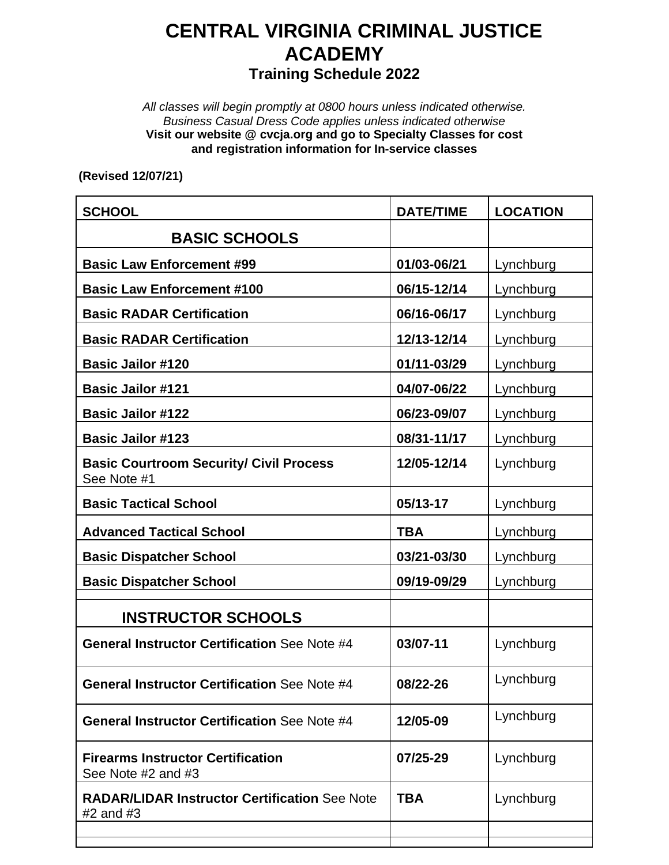## **CENTRAL VIRGINIA CRIMINAL JUSTICE ACADEMY Training Schedule 2022**

*All classes will begin promptly at 0800 hours unless indicated otherwise. Business Casual Dress Code applies unless indicated otherwise* **Visit our website @ cvcja.org and go to Specialty Classes for cost and registration information for In-service classes**

**(Revised 12/07/21)**

| <b>SCHOOL</b>                                                         | <b>DATE/TIME</b> | <b>LOCATION</b> |
|-----------------------------------------------------------------------|------------------|-----------------|
| <b>BASIC SCHOOLS</b>                                                  |                  |                 |
| <b>Basic Law Enforcement #99</b>                                      | 01/03-06/21      | Lynchburg       |
| <b>Basic Law Enforcement #100</b>                                     | 06/15-12/14      | Lynchburg       |
| <b>Basic RADAR Certification</b>                                      | 06/16-06/17      | Lynchburg       |
| <b>Basic RADAR Certification</b>                                      | 12/13-12/14      | Lynchburg       |
| <b>Basic Jailor #120</b>                                              | 01/11-03/29      | Lynchburg       |
| <b>Basic Jailor #121</b>                                              | 04/07-06/22      | Lynchburg       |
| <b>Basic Jailor #122</b>                                              | 06/23-09/07      | Lynchburg       |
| <b>Basic Jailor #123</b>                                              | 08/31-11/17      | Lynchburg       |
| <b>Basic Courtroom Security/ Civil Process</b><br>See Note #1         | 12/05-12/14      | Lynchburg       |
| <b>Basic Tactical School</b>                                          | 05/13-17         | Lynchburg       |
| <b>Advanced Tactical School</b>                                       | <b>TBA</b>       | Lynchburg       |
| <b>Basic Dispatcher School</b>                                        | 03/21-03/30      | Lynchburg       |
| <b>Basic Dispatcher School</b>                                        | 09/19-09/29      | Lynchburg       |
| <b>INSTRUCTOR SCHOOLS</b>                                             |                  |                 |
| <b>General Instructor Certification See Note #4</b>                   | 03/07-11         | Lynchburg       |
| <b>General Instructor Certification See Note #4</b>                   | 08/22-26         | Lynchburg       |
| <b>General Instructor Certification See Note #4</b>                   | 12/05-09         | Lynchburg       |
| <b>Firearms Instructor Certification</b><br>See Note #2 and #3        | 07/25-29         | Lynchburg       |
| <b>RADAR/LIDAR Instructor Certification See Note</b><br>$#2$ and $#3$ | <b>TBA</b>       | Lynchburg       |
|                                                                       |                  |                 |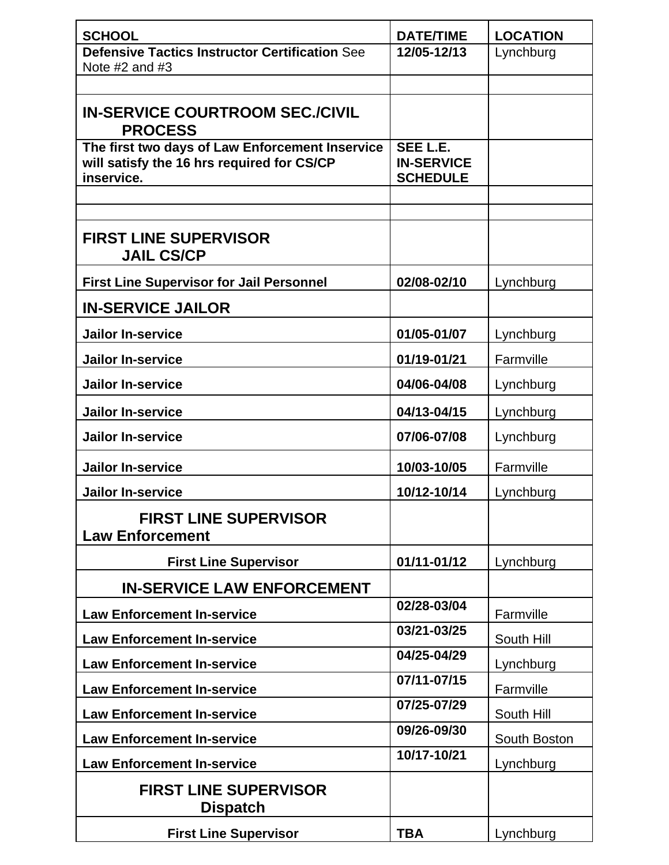| <b>SCHOOL</b>                                            | <b>DATE/TIME</b>  | <b>LOCATION</b> |
|----------------------------------------------------------|-------------------|-----------------|
| <b>Defensive Tactics Instructor Certification See</b>    | 12/05-12/13       | Lynchburg       |
| Note $#2$ and $#3$                                       |                   |                 |
|                                                          |                   |                 |
| <b>IN-SERVICE COURTROOM SEC./CIVIL</b><br><b>PROCESS</b> |                   |                 |
| The first two days of Law Enforcement Inservice          | SEE L.E.          |                 |
| will satisfy the 16 hrs required for CS/CP               | <b>IN-SERVICE</b> |                 |
| inservice.                                               | <b>SCHEDULE</b>   |                 |
|                                                          |                   |                 |
|                                                          |                   |                 |
| <b>FIRST LINE SUPERVISOR</b><br><b>JAIL CS/CP</b>        |                   |                 |
| <b>First Line Supervisor for Jail Personnel</b>          | 02/08-02/10       | Lynchburg       |
| <b>IN-SERVICE JAILOR</b>                                 |                   |                 |
| <b>Jailor In-service</b>                                 | 01/05-01/07       | Lynchburg       |
| <b>Jailor In-service</b>                                 | 01/19-01/21       | Farmville       |
| <b>Jailor In-service</b>                                 | 04/06-04/08       | Lynchburg       |
| <b>Jailor In-service</b>                                 | 04/13-04/15       | Lynchburg       |
| <b>Jailor In-service</b>                                 | 07/06-07/08       | Lynchburg       |
| <b>Jailor In-service</b>                                 | 10/03-10/05       | Farmville       |
| <b>Jailor In-service</b>                                 | 10/12-10/14       | Lynchburg       |
| <b>FIRST LINE SUPERVISOR</b><br><b>Law Enforcement</b>   |                   |                 |
| <b>First Line Supervisor</b>                             | 01/11-01/12       | Lynchburg       |
| <b>IN-SERVICE LAW ENFORCEMENT</b>                        |                   |                 |
| <b>Law Enforcement In-service</b>                        | 02/28-03/04       | Farmville       |
| <b>Law Enforcement In-service</b>                        | 03/21-03/25       | South Hill      |
| <b>Law Enforcement In-service</b>                        | 04/25-04/29       | Lynchburg       |
| <b>Law Enforcement In-service</b>                        | 07/11-07/15       | Farmville       |
| <b>Law Enforcement In-service</b>                        | 07/25-07/29       | South Hill      |
| <b>Law Enforcement In-service</b>                        | 09/26-09/30       | South Boston    |
| <b>Law Enforcement In-service</b>                        | 10/17-10/21       | Lynchburg       |
| <b>FIRST LINE SUPERVISOR</b><br><b>Dispatch</b>          |                   |                 |
| <b>First Line Supervisor</b>                             | <b>TBA</b>        | Lynchburg       |